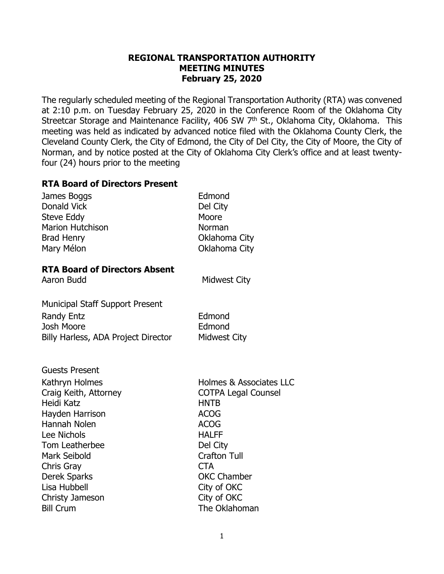## **REGIONAL TRANSPORTATION AUTHORITY MEETING MINUTES February 25, 2020**

The regularly scheduled meeting of the Regional Transportation Authority (RTA) was convened at 2:10 p.m. on Tuesday February 25, 2020 in the Conference Room of the Oklahoma City Streetcar Storage and Maintenance Facility, 406 SW 7<sup>th</sup> St., Oklahoma City, Oklahoma. This meeting was held as indicated by advanced notice filed with the Oklahoma County Clerk, the Cleveland County Clerk, the City of Edmond, the City of Del City, the City of Moore, the City of Norman, and by notice posted at the City of Oklahoma City Clerk's office and at least twentyfour (24) hours prior to the meeting

#### **RTA Board of Directors Present**

| James Boggs<br><b>Donald Vick</b><br><b>Steve Eddy</b><br><b>Marion Hutchison</b><br><b>Brad Henry</b>                                                                                                                  | Edmond<br>Del City<br>Moore<br>Norman<br>Oklahoma City                                                                                                                                                   |
|-------------------------------------------------------------------------------------------------------------------------------------------------------------------------------------------------------------------------|----------------------------------------------------------------------------------------------------------------------------------------------------------------------------------------------------------|
| Mary Mélon                                                                                                                                                                                                              | Oklahoma City                                                                                                                                                                                            |
| <b>RTA Board of Directors Absent</b><br>Aaron Budd                                                                                                                                                                      | <b>Midwest City</b>                                                                                                                                                                                      |
| <b>Municipal Staff Support Present</b><br><b>Randy Entz</b><br><b>Josh Moore</b><br>Billy Harless, ADA Project Director                                                                                                 | Edmond<br>Edmond<br><b>Midwest City</b>                                                                                                                                                                  |
| <b>Guests Present</b><br>Kathryn Holmes<br>Craig Keith, Attorney<br>Heidi Katz<br>Hayden Harrison<br>Hannah Nolen<br>Lee Nichols<br>Tom Leatherbee<br><b>Mark Seibold</b><br>Chris Gray<br>Derek Sparks<br>Lisa Hubbell | Holmes & Associates LLC<br><b>COTPA Legal Counsel</b><br><b>HNTB</b><br><b>ACOG</b><br><b>ACOG</b><br><b>HALFF</b><br>Del City<br><b>Crafton Tull</b><br><b>CTA</b><br><b>OKC Chamber</b><br>City of OKC |
| Christy Jameson                                                                                                                                                                                                         | City of OKC                                                                                                                                                                                              |

Bill Crum The Oklahoman

1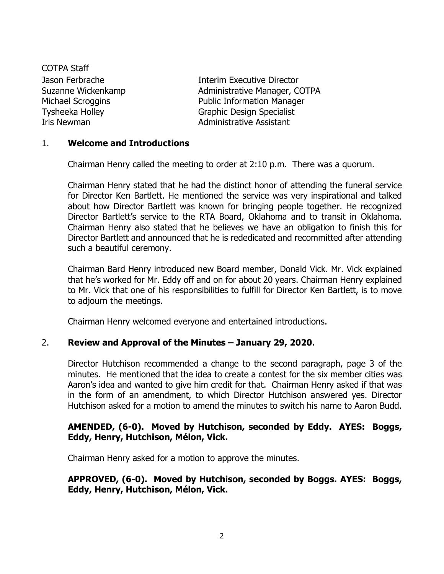COTPA Staff

Jason Ferbrache Interim Executive Director Suzanne Wickenkamp **Administrative Manager, COTPA** Michael Scroggins **Public Information Manager** Tysheeka Holley Graphic Design Specialist Iris Newman **Administrative Assistant** 

## 1. **Welcome and Introductions**

Chairman Henry called the meeting to order at 2:10 p.m. There was a quorum.

Chairman Henry stated that he had the distinct honor of attending the funeral service for Director Ken Bartlett. He mentioned the service was very inspirational and talked about how Director Bartlett was known for bringing people together. He recognized Director Bartlett's service to the RTA Board, Oklahoma and to transit in Oklahoma. Chairman Henry also stated that he believes we have an obligation to finish this for Director Bartlett and announced that he is rededicated and recommitted after attending such a beautiful ceremony.

Chairman Bard Henry introduced new Board member, Donald Vick. Mr. Vick explained that he's worked for Mr. Eddy off and on for about 20 years. Chairman Henry explained to Mr. Vick that one of his responsibilities to fulfill for Director Ken Bartlett, is to move to adjourn the meetings.

Chairman Henry welcomed everyone and entertained introductions.

## 2. **Review and Approval of the Minutes – January 29, 2020.**

Director Hutchison recommended a change to the second paragraph, page 3 of the minutes. He mentioned that the idea to create a contest for the six member cities was Aaron's idea and wanted to give him credit for that. Chairman Henry asked if that was in the form of an amendment, to which Director Hutchison answered yes. Director Hutchison asked for a motion to amend the minutes to switch his name to Aaron Budd.

## **AMENDED, (6-0). Moved by Hutchison, seconded by Eddy. AYES: Boggs, Eddy, Henry, Hutchison, Mélon, Vick.**

Chairman Henry asked for a motion to approve the minutes.

## **APPROVED, (6-0). Moved by Hutchison, seconded by Boggs. AYES: Boggs, Eddy, Henry, Hutchison, Mélon, Vick.**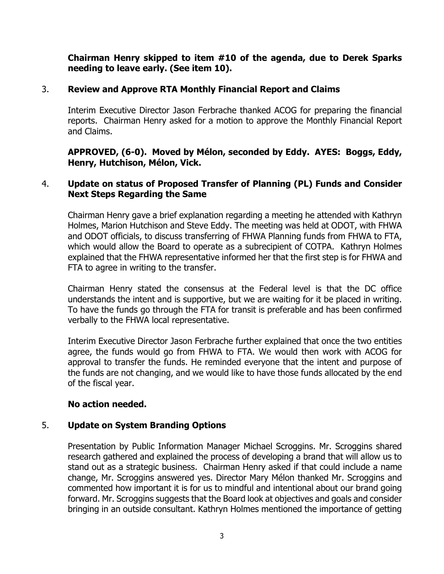## **Chairman Henry skipped to item #10 of the agenda, due to Derek Sparks needing to leave early. (See item 10).**

## 3. **Review and Approve RTA Monthly Financial Report and Claims**

Interim Executive Director Jason Ferbrache thanked ACOG for preparing the financial reports. Chairman Henry asked for a motion to approve the Monthly Financial Report and Claims.

## **APPROVED, (6-0). Moved by Mélon, seconded by Eddy. AYES: Boggs, Eddy, Henry, Hutchison, Mélon, Vick.**

## 4. **Update on status of Proposed Transfer of Planning (PL) Funds and Consider Next Steps Regarding the Same**

Chairman Henry gave a brief explanation regarding a meeting he attended with Kathryn Holmes, Marion Hutchison and Steve Eddy. The meeting was held at ODOT, with FHWA and ODOT officials, to discuss transferring of FHWA Planning funds from FHWA to FTA, which would allow the Board to operate as a subrecipient of COTPA. Kathryn Holmes explained that the FHWA representative informed her that the first step is for FHWA and FTA to agree in writing to the transfer.

Chairman Henry stated the consensus at the Federal level is that the DC office understands the intent and is supportive, but we are waiting for it be placed in writing. To have the funds go through the FTA for transit is preferable and has been confirmed verbally to the FHWA local representative.

Interim Executive Director Jason Ferbrache further explained that once the two entities agree, the funds would go from FHWA to FTA. We would then work with ACOG for approval to transfer the funds. He reminded everyone that the intent and purpose of the funds are not changing, and we would like to have those funds allocated by the end of the fiscal year.

## **No action needed.**

## 5. **Update on System Branding Options**

Presentation by Public Information Manager Michael Scroggins. Mr. Scroggins shared research gathered and explained the process of developing a brand that will allow us to stand out as a strategic business. Chairman Henry asked if that could include a name change, Mr. Scroggins answered yes. Director Mary Mélon thanked Mr. Scroggins and commented how important it is for us to mindful and intentional about our brand going forward. Mr. Scroggins suggests that the Board look at objectives and goals and consider bringing in an outside consultant. Kathryn Holmes mentioned the importance of getting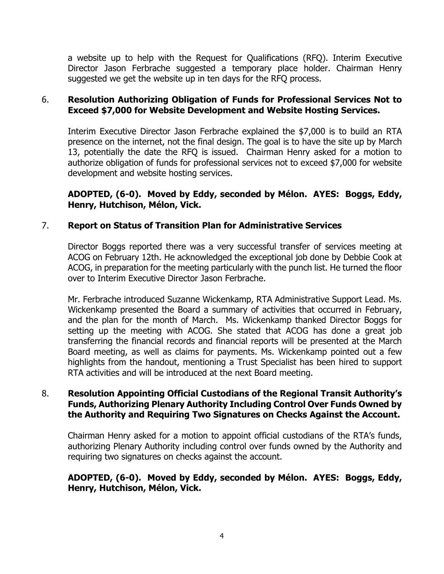a website up to help with the Request for Qualifications (RFQ). Interim Executive Director Jason Ferbrache suggested a temporary place holder. Chairman Henry suggested we get the website up in ten days for the RFQ process.

## 6. **Resolution Authorizing Obligation of Funds for Professional Services Not to Exceed \$7,000 for Website Development and Website Hosting Services.**

Interim Executive Director Jason Ferbrache explained the \$7,000 is to build an RTA presence on the internet, not the final design. The goal is to have the site up by March 13, potentially the date the RFQ is issued. Chairman Henry asked for a motion to authorize obligation of funds for professional services not to exceed \$7,000 for website development and website hosting services.

# **ADOPTED, (6-0). Moved by Eddy, seconded by Mélon. AYES: Boggs, Eddy, Henry, Hutchison, Mélon, Vick.**

# 7. **Report on Status of Transition Plan for Administrative Services**

Director Boggs reported there was a very successful transfer of services meeting at ACOG on February 12th. He acknowledged the exceptional job done by Debbie Cook at ACOG, in preparation for the meeting particularly with the punch list. He turned the floor over to Interim Executive Director Jason Ferbrache.

Mr. Ferbrache introduced Suzanne Wickenkamp, RTA Administrative Support Lead. Ms. Wickenkamp presented the Board a summary of activities that occurred in February, and the plan for the month of March. Ms. Wickenkamp thanked Director Boggs for setting up the meeting with ACOG. She stated that ACOG has done a great job transferring the financial records and financial reports will be presented at the March Board meeting, as well as claims for payments. Ms. Wickenkamp pointed out a few highlights from the handout, mentioning a Trust Specialist has been hired to support RTA activities and will be introduced at the next Board meeting.

## 8. **Resolution Appointing Official Custodians of the Regional Transit Authority's Funds, Authorizing Plenary Authority Including Control Over Funds Owned by the Authority and Requiring Two Signatures on Checks Against the Account.**

Chairman Henry asked for a motion to appoint official custodians of the RTA's funds, authorizing Plenary Authority including control over funds owned by the Authority and requiring two signatures on checks against the account.

# **ADOPTED, (6-0). Moved by Eddy, seconded by Mélon. AYES: Boggs, Eddy, Henry, Hutchison, Mélon, Vick.**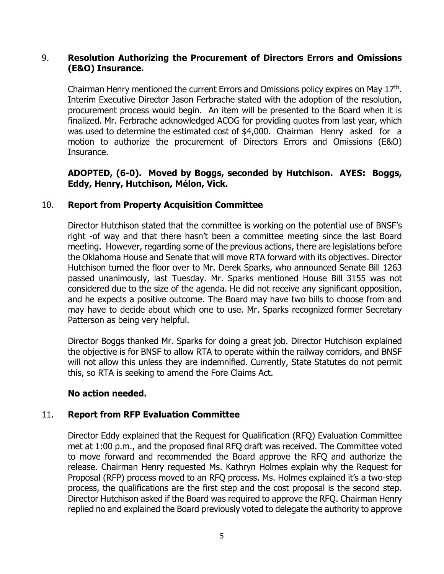## 9. **Resolution Authorizing the Procurement of Directors Errors and Omissions (E&O) Insurance.**

Chairman Henry mentioned the current Errors and Omissions policy expires on May 17<sup>th</sup>. Interim Executive Director Jason Ferbrache stated with the adoption of the resolution, procurement process would begin. An item will be presented to the Board when it is finalized. Mr. Ferbrache acknowledged ACOG for providing quotes from last year, which was used to determine the estimated cost of \$4,000. Chairman Henry asked for a motion to authorize the procurement of Directors Errors and Omissions (E&O) Insurance.

## **ADOPTED, (6-0). Moved by Boggs, seconded by Hutchison. AYES: Boggs, Eddy, Henry, Hutchison, Mélon, Vick.**

## 10. **Report from Property Acquisition Committee**

Director Hutchison stated that the committee is working on the potential use of BNSF's right -of way and that there hasn't been a committee meeting since the last Board meeting. However, regarding some of the previous actions, there are legislations before the Oklahoma House and Senate that will move RTA forward with its objectives. Director Hutchison turned the floor over to Mr. Derek Sparks, who announced Senate Bill 1263 passed unanimously, last Tuesday. Mr. Sparks mentioned House Bill 3155 was not considered due to the size of the agenda. He did not receive any significant opposition, and he expects a positive outcome. The Board may have two bills to choose from and may have to decide about which one to use. Mr. Sparks recognized former Secretary Patterson as being very helpful.

Director Boggs thanked Mr. Sparks for doing a great job. Director Hutchison explained the objective is for BNSF to allow RTA to operate within the railway corridors, and BNSF will not allow this unless they are indemnified. Currently, State Statutes do not permit this, so RTA is seeking to amend the Fore Claims Act.

## **No action needed.**

## 11. **Report from RFP Evaluation Committee**

Director Eddy explained that the Request for Qualification (RFQ) Evaluation Committee met at 1:00 p.m., and the proposed final RFQ draft was received. The Committee voted to move forward and recommended the Board approve the RFQ and authorize the release. Chairman Henry requested Ms. Kathryn Holmes explain why the Request for Proposal (RFP) process moved to an RFQ process. Ms. Holmes explained it's a two-step process, the qualifications are the first step and the cost proposal is the second step. Director Hutchison asked if the Board was required to approve the RFQ. Chairman Henry replied no and explained the Board previously voted to delegate the authority to approve